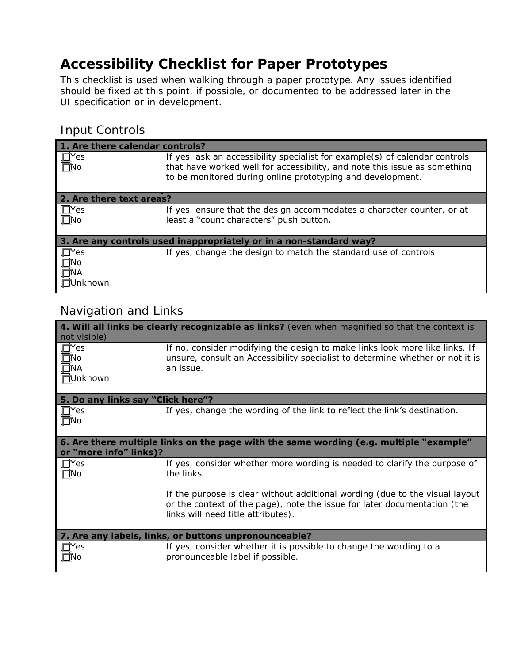## **Accessibility Checklist for Paper Prototypes**

This checklist is used when walking through a paper prototype. Any issues identified should be fixed at this point, if possible, or documented to be addressed later in the UI specification or in development.

### Input Controls

| 1. Are there calendar controls?                                    |                                                                                                                                                                                                                        |  |
|--------------------------------------------------------------------|------------------------------------------------------------------------------------------------------------------------------------------------------------------------------------------------------------------------|--|
| $\Box$ Yes<br>$\Box$ No                                            | If yes, ask an accessibility specialist for example(s) of calendar controls<br>that have worked well for accessibility, and note this issue as something<br>to be monitored during online prototyping and development. |  |
| 2. Are there text areas?                                           |                                                                                                                                                                                                                        |  |
| $\blacksquare$ TYes<br>$\blacksquare$ No                           | If yes, ensure that the design accommodates a character counter, or at<br>least a "count characters" push button.                                                                                                      |  |
| 3. Are any controls used inappropriately or in a non-standard way? |                                                                                                                                                                                                                        |  |
| $\blacksquare$<br>$\overline{\Box}$ No<br>ΠÑΑ<br>Jnknown           | If yes, change the design to match the standard use of controls.                                                                                                                                                       |  |

## Navigation and Links

| 4. Will all links be clearly recognizable as links? (even when magnified so that the context is<br>not visible)  |                                                                                                                                                                                                |  |
|------------------------------------------------------------------------------------------------------------------|------------------------------------------------------------------------------------------------------------------------------------------------------------------------------------------------|--|
| $\Box$ Yes<br>$\Box$ No<br><b>ENA</b><br><b>TUnknown</b>                                                         | If no, consider modifying the design to make links look more like links. If<br>unsure, consult an Accessibility specialist to determine whether or not it is<br>an issue.                      |  |
| 5. Do any links say "Click here"?                                                                                |                                                                                                                                                                                                |  |
| $\Box$ Yes<br>$\Box$ No                                                                                          | If yes, change the wording of the link to reflect the link's destination.                                                                                                                      |  |
| 6. Are there multiple links on the page with the same wording (e.g. multiple "example"<br>or "more info" links)? |                                                                                                                                                                                                |  |
| $\Box$ Yes<br>$\Box$ No                                                                                          | If yes, consider whether more wording is needed to clarify the purpose of<br>the links.                                                                                                        |  |
|                                                                                                                  | If the purpose is clear without additional wording (due to the visual layout<br>or the context of the page), note the issue for later documentation (the<br>links will need title attributes). |  |
| 7. Are any labels, links, or buttons unpronounceable?                                                            |                                                                                                                                                                                                |  |
| $\Box$ Yes<br>l⊟No                                                                                               | If yes, consider whether it is possible to change the wording to a<br>pronounceable label if possible.                                                                                         |  |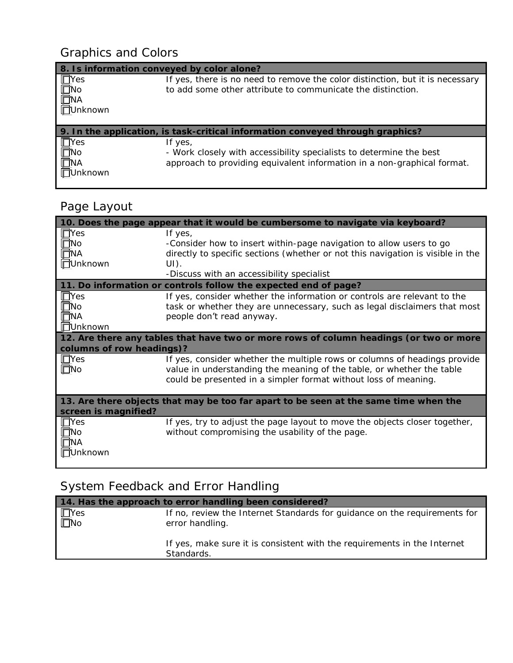## Graphics and Colors

| 8. Is information conveyed by color alone?                |                                                                                                                                                           |
|-----------------------------------------------------------|-----------------------------------------------------------------------------------------------------------------------------------------------------------|
| $\Box$ Yes<br>$\Box$ No<br><b>FINA</b><br><b>TUnknown</b> | If yes, there is no need to remove the color distinction, but it is necessary<br>to add some other attribute to communicate the distinction.              |
|                                                           | 9. In the application, is task-critical information conveyed through graphics?                                                                            |
| $\Box$ Yes<br>$\Box$ No<br>$\Box$ NA<br>Jnknown           | If yes,<br>- Work closely with accessibility specialists to determine the best<br>approach to providing equivalent information in a non-graphical format. |

# Page Layout

| 10. Does the page appear that it would be cumbersome to navigate via keyboard?         |                                                                                 |  |
|----------------------------------------------------------------------------------------|---------------------------------------------------------------------------------|--|
| $\Box$ Yes                                                                             | If yes,                                                                         |  |
| $\square$ No                                                                           | -Consider how to insert within-page navigation to allow users to go             |  |
| $\overline{\Box}$ NA                                                                   | directly to specific sections (whether or not this navigation is visible in the |  |
| <b>TUnknown</b>                                                                        | $UI)$ .                                                                         |  |
|                                                                                        | -Discuss with an accessibility specialist                                       |  |
|                                                                                        | 11. Do information or controls follow the expected end of page?                 |  |
| $\Box$ Yes                                                                             | If yes, consider whether the information or controls are relevant to the        |  |
| $\overline{\Box}$ No                                                                   | task or whether they are unnecessary, such as legal disclaimers that most       |  |
| $\Box$ NA                                                                              | people don't read anyway.                                                       |  |
| <b>TUnknown</b>                                                                        |                                                                                 |  |
| 12. Are there any tables that have two or more rows of column headings (or two or more |                                                                                 |  |
| columns of row headings)?                                                              |                                                                                 |  |
| $\Box$ Yes                                                                             | If yes, consider whether the multiple rows or columns of headings provide       |  |
| $\square$ No                                                                           | value in understanding the meaning of the table, or whether the table           |  |
|                                                                                        | could be presented in a simpler format without loss of meaning.                 |  |
|                                                                                        |                                                                                 |  |
| 13. Are there objects that may be too far apart to be seen at the same time when the   |                                                                                 |  |
| screen is magnified?                                                                   |                                                                                 |  |
| $\Box$ Yes                                                                             | If yes, try to adjust the page layout to move the objects closer together,      |  |
| $\Box$ No                                                                              | without compromising the usability of the page.                                 |  |
| <b>TTNA</b>                                                                            |                                                                                 |  |
| <b>TUnknown</b>                                                                        |                                                                                 |  |
|                                                                                        |                                                                                 |  |

# System Feedback and Error Handling

| 14. Has the approach to error handling been considered? |                                                                                              |  |
|---------------------------------------------------------|----------------------------------------------------------------------------------------------|--|
| $\Box$ Yes<br>$\overline{\Box}$ No                      | If no, review the Internet Standards for guidance on the requirements for<br>error handling. |  |
|                                                         | If yes, make sure it is consistent with the requirements in the Internet<br>Standards.       |  |